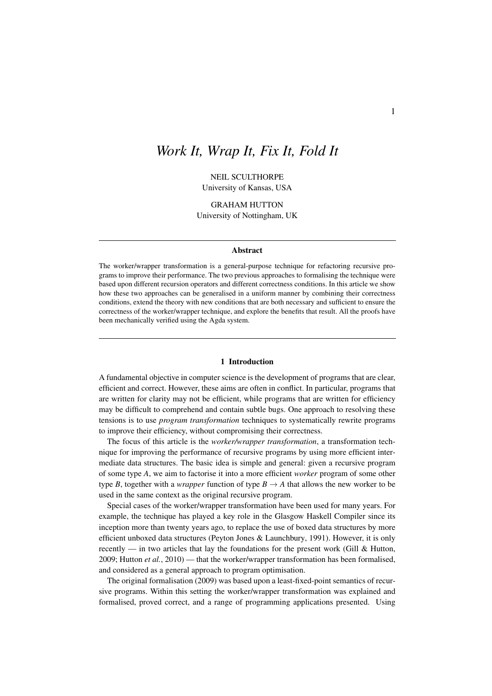# *Work It, Wrap It, Fix It, Fold It*

NEIL SCULTHORPE University of Kansas, USA

GRAHAM HUTTON University of Nottingham, UK

## Abstract

The worker/wrapper transformation is a general-purpose technique for refactoring recursive programs to improve their performance. The two previous approaches to formalising the technique were based upon different recursion operators and different correctness conditions. In this article we show how these two approaches can be generalised in a uniform manner by combining their correctness conditions, extend the theory with new conditions that are both necessary and sufficient to ensure the correctness of the worker/wrapper technique, and explore the benefits that result. All the proofs have been mechanically verified using the Agda system.

#### 1 Introduction

A fundamental objective in computer science is the development of programs that are clear, efficient and correct. However, these aims are often in conflict. In particular, programs that are written for clarity may not be efficient, while programs that are written for efficiency may be difficult to comprehend and contain subtle bugs. One approach to resolving these tensions is to use *program transformation* techniques to systematically rewrite programs to improve their efficiency, without compromising their correctness.

The focus of this article is the *worker/wrapper transformation*, a transformation technique for improving the performance of recursive programs by using more efficient intermediate data structures. The basic idea is simple and general: given a recursive program of some type *A*, we aim to factorise it into a more efficient *worker* program of some other type *B*, together with a *wrapper* function of type  $B \to A$  that allows the new worker to be used in the same context as the original recursive program.

Special cases of the worker/wrapper transformation have been used for many years. For example, the technique has played a key role in the Glasgow Haskell Compiler since its inception more than twenty years ago, to replace the use of boxed data structures by more efficient unboxed data structures (Peyton Jones & Launchbury, 1991). However, it is only recently — in two articles that lay the foundations for the present work (Gill & Hutton, 2009; Hutton *et al.*, 2010) — that the worker/wrapper transformation has been formalised, and considered as a general approach to program optimisation.

The original formalisation (2009) was based upon a least-fixed-point semantics of recursive programs. Within this setting the worker/wrapper transformation was explained and formalised, proved correct, and a range of programming applications presented. Using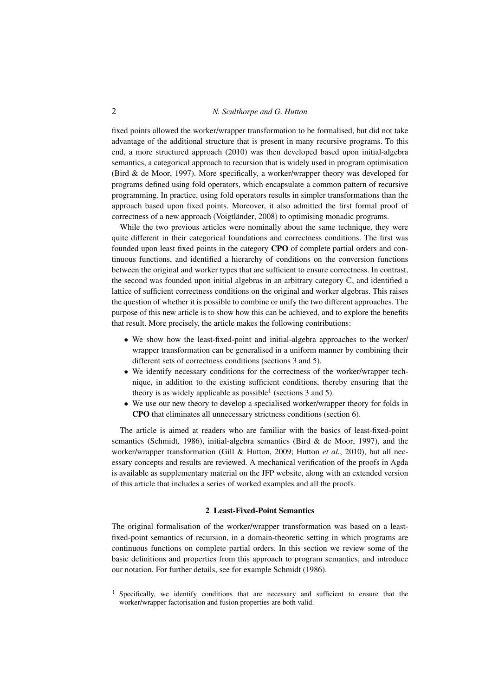fixed points allowed the worker/wrapper transformation to be formalised, but did not take advantage of the additional structure that is present in many recursive programs. To this end, a more structured approach (2010) was then developed based upon initial-algebra semantics, a categorical approach to recursion that is widely used in program optimisation (Bird & de Moor, 1997). More specifically, a worker/wrapper theory was developed for programs defined using fold operators, which encapsulate a common pattern of recursive programming. In practice, using fold operators results in simpler transformations than the approach based upon fixed points. Moreover, it also admitted the first formal proof of correctness of a new approach (Voigtländer, 2008) to optimising monadic programs.

While the two previous articles were nominally about the same technique, they were quite different in their categorical foundations and correctness conditions. The first was founded upon least fixed points in the category CPO of complete partial orders and continuous functions, and identified a hierarchy of conditions on the conversion functions between the original and worker types that are sufficient to ensure correctness. In contrast, the second was founded upon initial algebras in an arbitrary category C, and identified a lattice of sufficient correctness conditions on the original and worker algebras. This raises the question of whether it is possible to combine or unify the two different approaches. The purpose of this new article is to show how this can be achieved, and to explore the benefits that result. More precisely, the article makes the following contributions:

- We show how the least-fixed-point and initial-algebra approaches to the worker/ wrapper transformation can be generalised in a uniform manner by combining their different sets of correctness conditions (sections 3 and 5).
- We identify necessary conditions for the correctness of the worker/wrapper technique, in addition to the existing sufficient conditions, thereby ensuring that the theory is as widely applicable as possible<sup>1</sup> (sections 3 and 5).
- We use our new theory to develop a specialised worker/wrapper theory for folds in CPO that eliminates all unnecessary strictness conditions (section 6).

The article is aimed at readers who are familiar with the basics of least-fixed-point semantics (Schmidt, 1986), initial-algebra semantics (Bird & de Moor, 1997), and the worker/wrapper transformation (Gill & Hutton, 2009; Hutton *et al.*, 2010), but all necessary concepts and results are reviewed. A mechanical verification of the proofs in Agda is available as supplementary material on the JFP website, along with an extended version of this article that includes a series of worked examples and all the proofs.

# 2 Least-Fixed-Point Semantics

The original formalisation of the worker/wrapper transformation was based on a leastfixed-point semantics of recursion, in a domain-theoretic setting in which programs are continuous functions on complete partial orders. In this section we review some of the basic definitions and properties from this approach to program semantics, and introduce our notation. For further details, see for example Schmidt (1986).

 $<sup>1</sup>$  Specifically, we identify conditions that are necessary and sufficient to ensure that the</sup> worker/wrapper factorisation and fusion properties are both valid.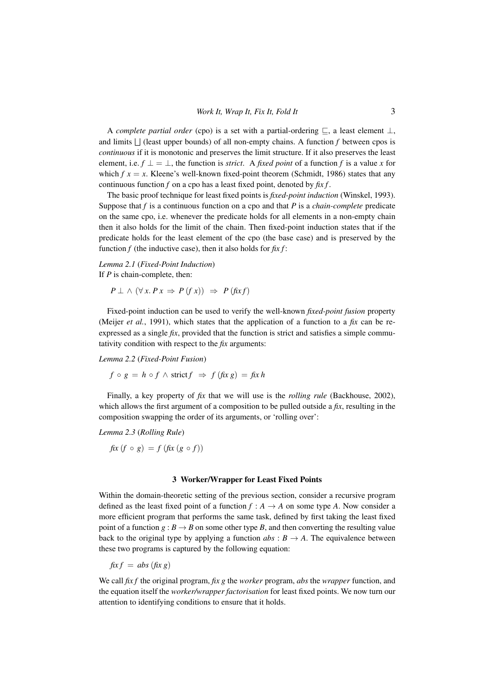A *complete partial order* (cpo) is a set with a partial-ordering ⊑, a least element ⊥, and limits  $\bigcup$  (least upper bounds) of all non-empty chains. A function  $f$  between cpos is *continuous* if it is monotonic and preserves the limit structure. If it also preserves the least element, i.e.  $f \perp = \perp$ , the function is *strict*. A *fixed point* of a function f is a value x for which  $f x = x$ . Kleene's well-known fixed-point theorem (Schmidt, 1986) states that any continuous function *f* on a cpo has a least fixed point, denoted by *fix f* .

The basic proof technique for least fixed points is *fixed-point induction* (Winskel, 1993). Suppose that *f* is a continuous function on a cpo and that *P* is a *chain-complete* predicate on the same cpo, i.e. whenever the predicate holds for all elements in a non-empty chain then it also holds for the limit of the chain. Then fixed-point induction states that if the predicate holds for the least element of the cpo (the base case) and is preserved by the function  $f$  (the inductive case), then it also holds for  $fix f$ :

# *Lemma 2.1* (*Fixed-Point Induction*) If *P* is chain-complete, then:

$$
P \perp \wedge (\forall x. P x \Rightarrow P (f x)) \Rightarrow P (f x f)
$$

Fixed-point induction can be used to verify the well-known *fixed-point fusion* property (Meijer *et al.*, 1991), which states that the application of a function to a *fix* can be reexpressed as a single  $fix$ , provided that the function is strict and satisfies a simple commutativity condition with respect to the *fix* arguments:

*Lemma 2.2* (*Fixed-Point Fusion*)

$$
f \circ g = h \circ f \wedge \text{strict } f \Rightarrow f(\text{fix } g) = \text{fix } h
$$

Finally, a key property of *fix* that we will use is the *rolling rule* (Backhouse, 2002), which allows the first argument of a composition to be pulled outside a *fix*, resulting in the composition swapping the order of its arguments, or 'rolling over':

*Lemma 2.3* (*Rolling Rule*)

 $f(x(f \circ g) = f(f(x(g \circ f)))$ 

#### 3 Worker/Wrapper for Least Fixed Points

Within the domain-theoretic setting of the previous section, consider a recursive program defined as the least fixed point of a function  $f : A \rightarrow A$  on some type *A*. Now consider a more efficient program that performs the same task, defined by first taking the least fixed point of a function  $g : B \to B$  on some other type *B*, and then converting the resulting value back to the original type by applying a function  $abs: B \rightarrow A$ . The equivalence between these two programs is captured by the following equation:

 $fix f = abs (fix g)$ 

We call *fix f* the original program, *fix g* the *worker* program, *abs* the *wrapper* function, and the equation itself the *worker/wrapper factorisation* for least fixed points. We now turn our attention to identifying conditions to ensure that it holds.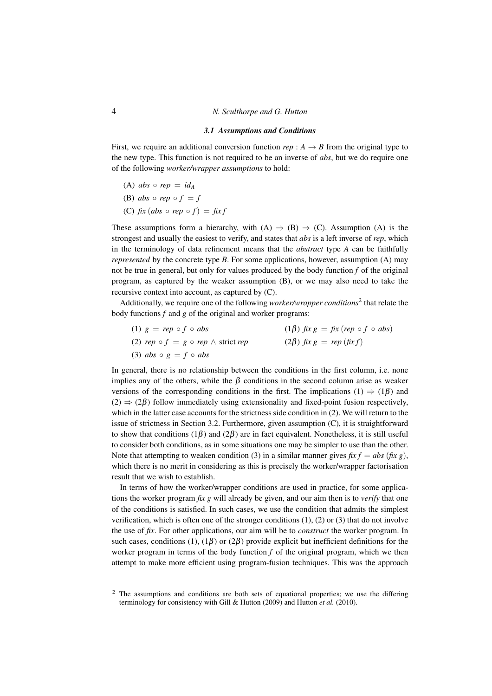#### *3.1 Assumptions and Conditions*

First, we require an additional conversion function  $rep : A \rightarrow B$  from the original type to the new type. This function is not required to be an inverse of *abs*, but we do require one of the following *worker/wrapper assumptions* to hold:

 $(A)$  *abs*  $\circ$  *rep* = *id<sub>A</sub>* (B) *abs*  $\circ$  *rep*  $\circ$   $f = f$ (C)  $fix$  (abs  $\circ$  *rep*  $\circ$   $f$ ) =  $fix$  *f* 

These assumptions form a hierarchy, with (A)  $\Rightarrow$  (B)  $\Rightarrow$  (C). Assumption (A) is the strongest and usually the easiest to verify, and states that *abs* is a left inverse of *rep*, which in the terminology of data refinement means that the *abstract* type *A* can be faithfully *represented* by the concrete type *B*. For some applications, however, assumption (A) may not be true in general, but only for values produced by the body function *f* of the original program, as captured by the weaker assumption (B), or we may also need to take the recursive context into account, as captured by (C).

Additionally, we require one of the following *worker/wrapper conditions*<sup>2</sup> that relate the body functions *f* and *g* of the original and worker programs:

| (1) $g = rep \circ f \circ abs$                   | $(1\beta)$ fix $g = f(x (rep \circ f \circ abs))$ |
|---------------------------------------------------|---------------------------------------------------|
| (2) $rep \circ f = g \circ rep \wedge strict rep$ | $(2\beta)$ fix $g = rep$ (fix f)                  |
| (3) abs $\circ$ g = f $\circ$ abs                 |                                                   |

In general, there is no relationship between the conditions in the first column, i.e. none implies any of the others, while the  $\beta$  conditions in the second column arise as weaker versions of the corresponding conditions in the first. The implications (1)  $\Rightarrow$  (1 $\beta$ ) and  $(2) \Rightarrow (2\beta)$  follow immediately using extensionality and fixed-point fusion respectively, which in the latter case accounts for the strictness side condition in (2). We will return to the issue of strictness in Section 3.2. Furthermore, given assumption (C), it is straightforward to show that conditions (1 $\beta$ ) and (2 $\beta$ ) are in fact equivalent. Nonetheless, it is still useful to consider both conditions, as in some situations one may be simpler to use than the other. Note that attempting to weaken condition (3) in a similar manner gives  $fix f = abs (fix g)$ , which there is no merit in considering as this is precisely the worker/wrapper factorisation result that we wish to establish.

In terms of how the worker/wrapper conditions are used in practice, for some applications the worker program *fix g* will already be given, and our aim then is to *verify* that one of the conditions is satisfied. In such cases, we use the condition that admits the simplest verification, which is often one of the stronger conditions (1), (2) or (3) that do not involve the use of *fix*. For other applications, our aim will be to *construct* the worker program. In such cases, conditions (1), (1 $\beta$ ) or (2 $\beta$ ) provide explicit but inefficient definitions for the worker program in terms of the body function *f* of the original program, which we then attempt to make more efficient using program-fusion techniques. This was the approach

 $2\degree$  The assumptions and conditions are both sets of equational properties; we use the differing terminology for consistency with Gill & Hutton (2009) and Hutton *et al.* (2010).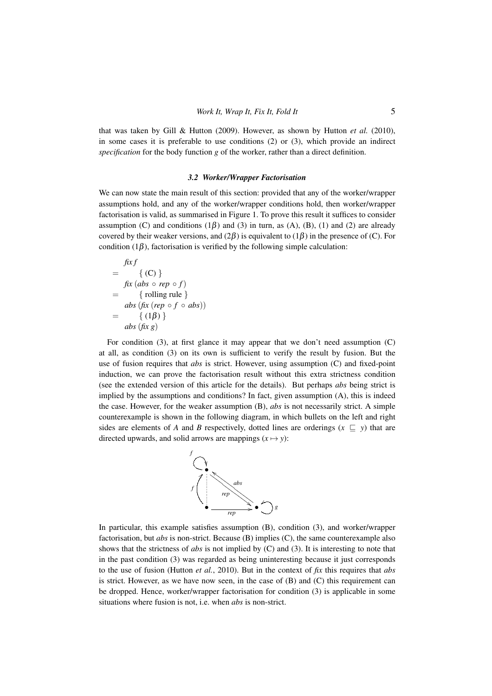that was taken by Gill & Hutton (2009). However, as shown by Hutton *et al.* (2010), in some cases it is preferable to use conditions  $(2)$  or  $(3)$ , which provide an indirect *specification* for the body function *g* of the worker, rather than a direct definition.

# *3.2 Worker/Wrapper Factorisation*

We can now state the main result of this section: provided that any of the worker/wrapper assumptions hold, and any of the worker/wrapper conditions hold, then worker/wrapper factorisation is valid, as summarised in Figure 1. To prove this result it suffices to consider assumption (C) and conditions  $(1\beta)$  and  $(3)$  in turn, as  $(A)$ ,  $(B)$ ,  $(1)$  and  $(2)$  are already covered by their weaker versions, and  $(2\beta)$  is equivalent to  $(1\beta)$  in the presence of (C). For condition (1 $\beta$ ), factorisation is verified by the following simple calculation:

$$
fix f
$$
  
= { (C) }  

$$
fix (abs \circ rep \circ f)
$$
  
= { rolling rule }  

$$
abs (fix (rep \circ f \circ abs))
$$
  
= { (1 $\beta$ )}  

$$
abs (fix g)
$$

For condition  $(3)$ , at first glance it may appear that we don't need assumption  $(C)$ at all, as condition (3) on its own is sufficient to verify the result by fusion. But the use of fusion requires that *abs* is strict. However, using assumption (C) and fixed-point induction, we can prove the factorisation result without this extra strictness condition (see the extended version of this article for the details). But perhaps *abs* being strict is implied by the assumptions and conditions? In fact, given assumption (A), this is indeed the case. However, for the weaker assumption (B), *abs* is not necessarily strict. A simple counterexample is shown in the following diagram, in which bullets on the left and right sides are elements of *A* and *B* respectively, dotted lines are orderings ( $x \subseteq y$ ) that are directed upwards, and solid arrows are mappings  $(x \mapsto y)$ :



In particular, this example satisfies assumption (B), condition (3), and worker/wrapper factorisation, but *abs* is non-strict. Because (B) implies (C), the same counterexample also shows that the strictness of *abs* is not implied by (C) and (3). It is interesting to note that in the past condition (3) was regarded as being uninteresting because it just corresponds to the use of fusion (Hutton *et al.*, 2010). But in the context of *fix* this requires that *abs* is strict. However, as we have now seen, in the case of  $(B)$  and  $(C)$  this requirement can be dropped. Hence, worker/wrapper factorisation for condition (3) is applicable in some situations where fusion is not, i.e. when *abs* is non-strict.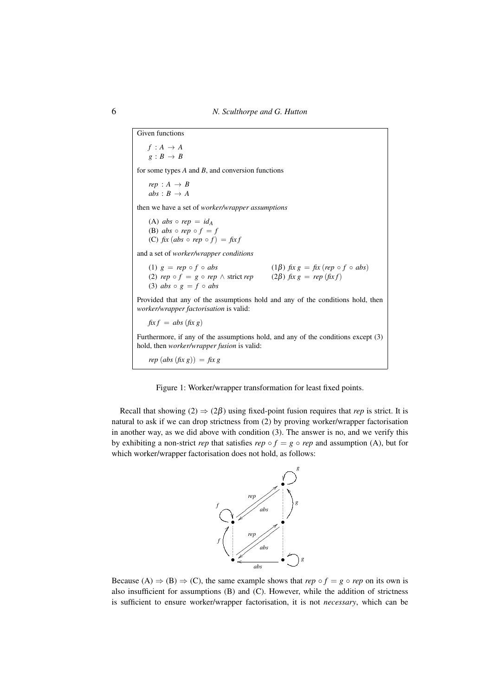Given functions  $f : A \rightarrow A$  $g : B \rightarrow B$ for some types *A* and *B*, and conversion functions  $rep : A \rightarrow B$  $abs : B \rightarrow A$ then we have a set of *worker/wrapper assumptions* (A) *abs*  $\circ$  *rep* = *id*<sub>A</sub> (B) *abs*  $\circ$  *rep*  $\circ$   $f = f$ (C)  $fix$  (abs  $\circ$  *rep*  $\circ$   $f$ ) =  $fix$ and a set of *worker/wrapper conditions* (1)  $g = rep \circ f \circ abs$  (1 $\beta$ )  $fix g = fix (rep \circ f \circ abs)$ <br>(2)  $rep \circ f = g \circ rep \wedge strict rep$  (2 $\beta$ )  $fix g = rep (fix f)$ (2)  $rep \circ f = g \circ rep \wedge strict \, rep$ (3)  $abs \circ g = f \circ abs$ Provided that any of the assumptions hold and any of the conditions hold, then *worker/wrapper factorisation* is valid:  $fix f = abs(fix g)$ Furthermore, if any of the assumptions hold, and any of the conditions except (3) hold, then *worker/wrapper fusion* is valid:  $rep (abs (fix g)) = fix g$ 



Recall that showing  $(2) \Rightarrow (2\beta)$  using fixed-point fusion requires that *rep* is strict. It is natural to ask if we can drop strictness from (2) by proving worker/wrapper factorisation in another way, as we did above with condition (3). The answer is no, and we verify this by exhibiting a non-strict *rep* that satisfies  $rep \circ f = g \circ rep$  and assumption (A), but for which worker/wrapper factorisation does not hold, as follows:



Because (A)  $\Rightarrow$  (B)  $\Rightarrow$  (C), the same example shows that *rep*  $\circ$  *f* = *g*  $\circ$  *rep* on its own is also insufficient for assumptions (B) and (C). However, while the addition of strictness is sufficient to ensure worker/wrapper factorisation, it is not *necessary*, which can be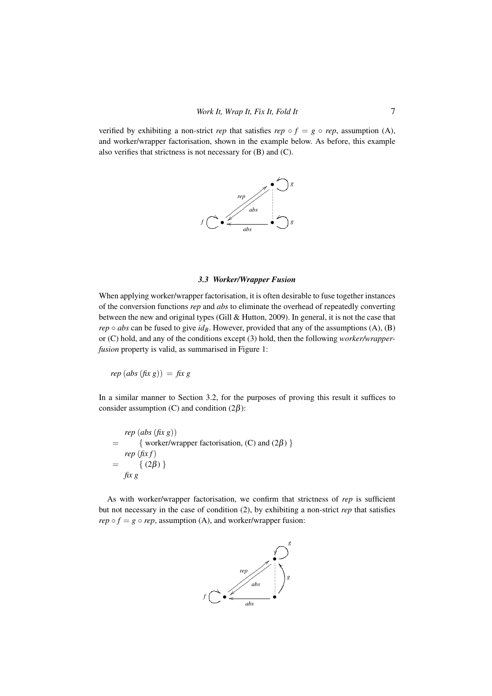verified by exhibiting a non-strict *rep* that satisfies  $rep \circ f = g \circ rep$ , assumption (A), and worker/wrapper factorisation, shown in the example below. As before, this example also verifies that strictness is not necessary for (B) and (C).



## *3.3 Worker/Wrapper Fusion*

When applying worker/wrapper factorisation, it is often desirable to fuse together instances of the conversion functions *rep* and *abs* to eliminate the overhead of repeatedly converting between the new and original types (Gill & Hutton, 2009). In general, it is not the case that *rep*  $\circ$  *abs* can be fused to give *id<sub>B</sub>*. However, provided that any of the assumptions (A), (B) or (C) hold, and any of the conditions except (3) hold, then the following *worker/wrapperfusion* property is valid, as summarised in Figure 1:

 $rep (abs (fix g)) = fix g$ 

In a similar manner to Section 3.2, for the purposes of proving this result it suffices to consider assumption (C) and condition  $(2\beta)$ :

*rep* (*abs* (*fix g*)) = { worker/wrapper factorisation, (C) and  $(2\beta)$  } *rep* (*fix f*)  $= \{ (2\beta) \}$ *fix g*

As with worker/wrapper factorisation, we confirm that strictness of *rep* is sufficient but not necessary in the case of condition (2), by exhibiting a non-strict *rep* that satisfies *rep*  $\circ$  *f* = *g*  $\circ$  *rep*, assumption (A), and worker/wrapper fusion:

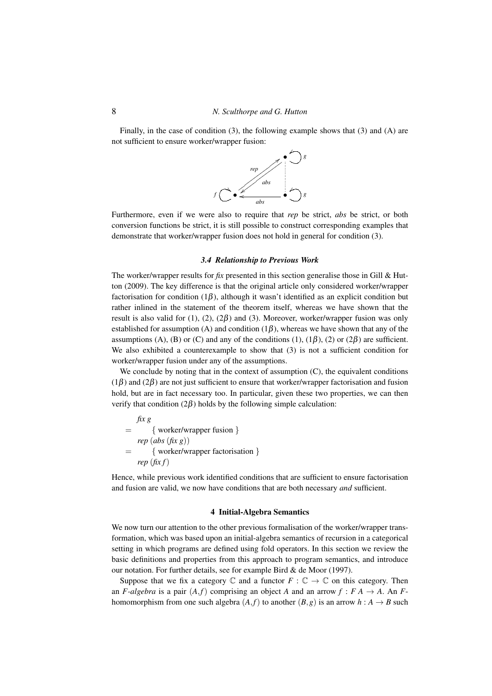Finally, in the case of condition (3), the following example shows that (3) and (A) are not sufficient to ensure worker/wrapper fusion:



Furthermore, even if we were also to require that *rep* be strict, *abs* be strict, or both conversion functions be strict, it is still possible to construct corresponding examples that demonstrate that worker/wrapper fusion does not hold in general for condition (3).

## *3.4 Relationship to Previous Work*

The worker/wrapper results for *fix* presented in this section generalise those in Gill & Hutton (2009). The key difference is that the original article only considered worker/wrapper factorisation for condition  $(1\beta)$ , although it wasn't identified as an explicit condition but rather inlined in the statement of the theorem itself, whereas we have shown that the result is also valid for (1), (2), (2 $\beta$ ) and (3). Moreover, worker/wrapper fusion was only established for assumption (A) and condition ( $1\beta$ ), whereas we have shown that any of the assumptions (A), (B) or (C) and any of the conditions (1), (1 $\beta$ ), (2) or (2 $\beta$ ) are sufficient. We also exhibited a counterexample to show that (3) is not a sufficient condition for worker/wrapper fusion under any of the assumptions.

We conclude by noting that in the context of assumption  $(C)$ , the equivalent conditions  $(1\beta)$  and  $(2\beta)$  are not just sufficient to ensure that worker/wrapper factorisation and fusion hold, but are in fact necessary too. In particular, given these two properties, we can then verify that condition  $(2\beta)$  holds by the following simple calculation:

$$
fix g
$$
  
= { worker/wrapper fusion}  
 $rep (abs (fix g))$   
= { worker/wrapper factorisation}  
 $rep (fix f)$ 

Hence, while previous work identified conditions that are sufficient to ensure factorisation and fusion are valid, we now have conditions that are both necessary *and* sufficient.

# 4 Initial-Algebra Semantics

We now turn our attention to the other previous formalisation of the worker/wrapper transformation, which was based upon an initial-algebra semantics of recursion in a categorical setting in which programs are defined using fold operators. In this section we review the basic definitions and properties from this approach to program semantics, and introduce our notation. For further details, see for example Bird & de Moor (1997).

Suppose that we fix a category  $\mathbb C$  and a functor  $F : \mathbb C \to \mathbb C$  on this category. Then an *F*-algebra is a pair  $(A, f)$  comprising an object *A* and an arrow  $f : FA \to A$ . An *F*homomorphism from one such algebra  $(A, f)$  to another  $(B, g)$  is an arrow  $h : A \rightarrow B$  such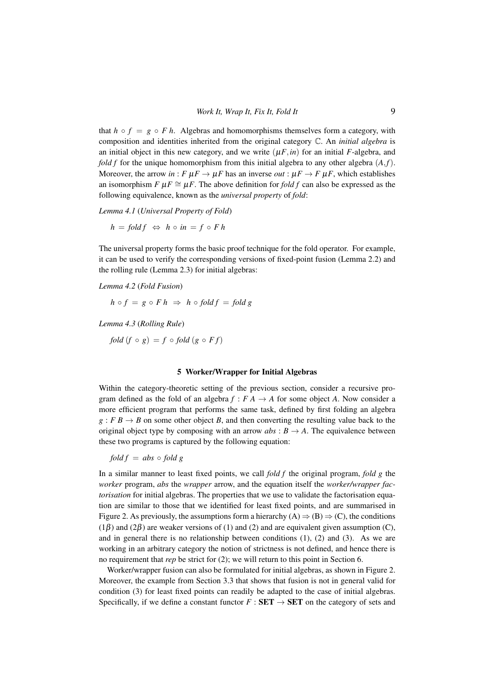that  $h \circ f = g \circ F h$ . Algebras and homomorphisms themselves form a category, with composition and identities inherited from the original category C. An *initial algebra* is an initial object in this new category, and we write  $(\mu F, in)$  for an initial *F*-algebra, and *fold f* for the unique homomorphism from this initial algebra to any other algebra  $(A, f)$ . Moreover, the arrow *in* :  $F \mu F \rightarrow \mu F$  has an inverse *out* :  $\mu F \rightarrow F \mu F$ , which establishes an isomorphism  $F \mu F \cong \mu F$ . The above definition for *fold f* can also be expressed as the following equivalence, known as the *universal property* of *fold*:

*Lemma 4.1* (*Universal Property of Fold*)

 $h = \text{fold } f \Leftrightarrow h \circ in = f \circ F h$ 

The universal property forms the basic proof technique for the fold operator. For example, it can be used to verify the corresponding versions of fixed-point fusion (Lemma 2.2) and the rolling rule (Lemma 2.3) for initial algebras:

*Lemma 4.2* (*Fold Fusion*)

$$
h \circ f = g \circ F h \Rightarrow h \circ fold f = fold g
$$

*Lemma 4.3* (*Rolling Rule*)

*fold* (*f* ◦ *g*) = *f* ◦ *fold* (*g* ◦ *F f*)

### 5 Worker/Wrapper for Initial Algebras

Within the category-theoretic setting of the previous section, consider a recursive program defined as the fold of an algebra  $f : F A \rightarrow A$  for some object A. Now consider a more efficient program that performs the same task, defined by first folding an algebra  $g : F B \to B$  on some other object *B*, and then converting the resulting value back to the original object type by composing with an arrow  $abs: B \rightarrow A$ . The equivalence between these two programs is captured by the following equation:

 $f \circ b \circ f \circ b \circ f \circ b \circ f$ 

In a similar manner to least fixed points, we call *fold f* the original program, *fold g* the *worker* program, *abs* the *wrapper* arrow, and the equation itself the *worker/wrapper factorisation* for initial algebras. The properties that we use to validate the factorisation equation are similar to those that we identified for least fixed points, and are summarised in Figure 2. As previously, the assumptions form a hierarchy  $(A) \Rightarrow (B) \Rightarrow (C)$ , the conditions  $(1\beta)$  and  $(2\beta)$  are weaker versions of (1) and (2) and are equivalent given assumption (C), and in general there is no relationship between conditions  $(1)$ ,  $(2)$  and  $(3)$ . As we are working in an arbitrary category the notion of strictness is not defined, and hence there is no requirement that *rep* be strict for (2); we will return to this point in Section 6.

Worker/wrapper fusion can also be formulated for initial algebras, as shown in Figure 2. Moreover, the example from Section 3.3 that shows that fusion is not in general valid for condition (3) for least fixed points can readily be adapted to the case of initial algebras. Specifically, if we define a constant functor  $F : SET \rightarrow SET$  on the category of sets and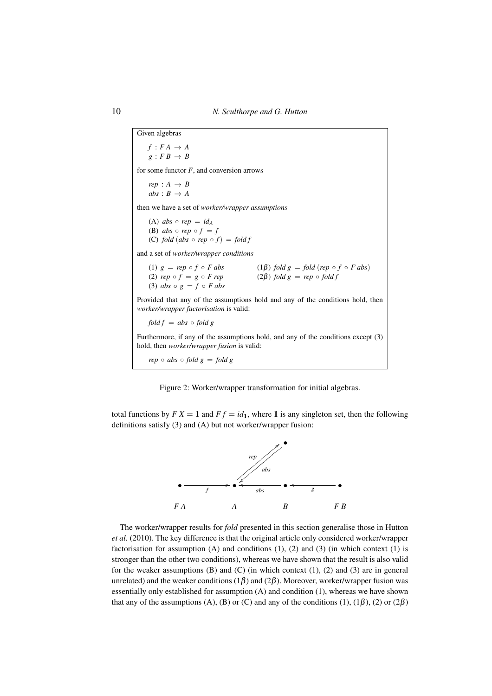Given algebras  $f : FA \rightarrow A$  $g : F B \rightarrow B$ for some functor *F*, and conversion arrows  $rep : A \rightarrow B$  $abs : B \rightarrow A$ then we have a set of *worker/wrapper assumptions* (A)  $abs \circ rep = id_A$ (B) *abs*  $\circ$  *rep*  $\circ$   $f = f$ (C) *fold*  $(abs \circ rep \circ f) = fold f$ and a set of *worker/wrapper conditions* (1)  $g = rep \circ f \circ F \text{ abs}$ <br>
(2)  $rep \circ f = g \circ F \text{ rep}$ <br>
(2)  $f = g \circ F \text{ rep}$ <br>
(2)  $f \circ f \circ F \text{ abs}$  $(2\beta)$  *fold*  $g = rep \circ fold f$ (3)  $abs \circ g = f \circ F$  *abs* Provided that any of the assumptions hold and any of the conditions hold, then *worker/wrapper factorisation* is valid:  $f \circ \text{d} f = \text{d} s \circ \text{f} \circ \text{d} g$ Furthermore, if any of the assumptions hold, and any of the conditions except (3) hold, then *worker/wrapper fusion* is valid: *rep*  $\circ$  *abs*  $\circ$  *fold*  $g =$  *fold*  $g$ 

Figure 2: Worker/wrapper transformation for initial algebras.

total functions by  $FX = 1$  and  $Ff = id_1$ , where 1 is any singleton set, then the following definitions satisfy (3) and (A) but not worker/wrapper fusion:



The worker/wrapper results for *fold* presented in this section generalise those in Hutton *et al.* (2010). The key difference is that the original article only considered worker/wrapper factorisation for assumption  $(A)$  and conditions  $(1)$ ,  $(2)$  and  $(3)$  (in which context  $(1)$  is stronger than the other two conditions), whereas we have shown that the result is also valid for the weaker assumptions  $(B)$  and  $(C)$  (in which context  $(1)$ ,  $(2)$  and  $(3)$  are in general unrelated) and the weaker conditions (1 $\beta$ ) and (2 $\beta$ ). Moreover, worker/wrapper fusion was essentially only established for assumption (A) and condition (1), whereas we have shown that any of the assumptions (A), (B) or (C) and any of the conditions (1), (1 $\beta$ ), (2) or (2 $\beta$ )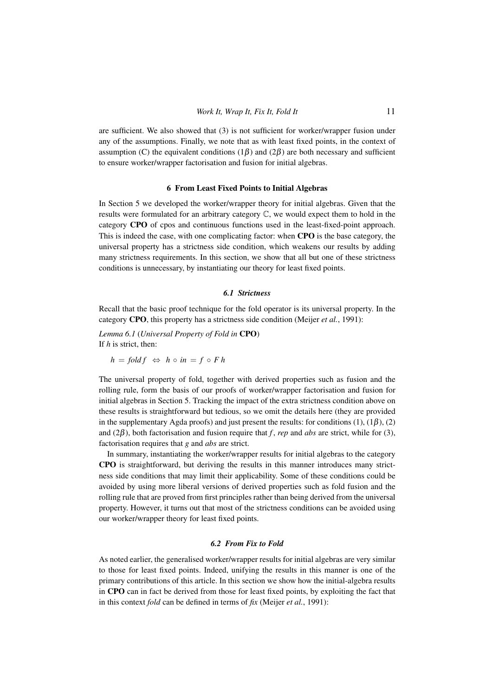are sufficient. We also showed that (3) is not sufficient for worker/wrapper fusion under any of the assumptions. Finally, we note that as with least fixed points, in the context of assumption (C) the equivalent conditions (1 $\beta$ ) and (2 $\beta$ ) are both necessary and sufficient to ensure worker/wrapper factorisation and fusion for initial algebras.

# 6 From Least Fixed Points to Initial Algebras

In Section 5 we developed the worker/wrapper theory for initial algebras. Given that the results were formulated for an arbitrary category C, we would expect them to hold in the category CPO of cpos and continuous functions used in the least-fixed-point approach. This is indeed the case, with one complicating factor: when CPO is the base category, the universal property has a strictness side condition, which weakens our results by adding many strictness requirements. In this section, we show that all but one of these strictness conditions is unnecessary, by instantiating our theory for least fixed points.

# *6.1 Strictness*

Recall that the basic proof technique for the fold operator is its universal property. In the category CPO, this property has a strictness side condition (Meijer *et al.*, 1991):

*Lemma 6.1* (*Universal Property of Fold in* CPO) If *h* is strict, then:

$$
h = fold f \Leftrightarrow h \circ in = f \circ F h
$$

The universal property of fold, together with derived properties such as fusion and the rolling rule, form the basis of our proofs of worker/wrapper factorisation and fusion for initial algebras in Section 5. Tracking the impact of the extra strictness condition above on these results is straightforward but tedious, so we omit the details here (they are provided in the supplementary Agda proofs) and just present the results: for conditions  $(1)$ ,  $(1\beta)$ ,  $(2)$ and (2β), both factorisation and fusion require that *f* , *rep* and *abs* are strict, while for (3), factorisation requires that *g* and *abs* are strict.

In summary, instantiating the worker/wrapper results for initial algebras to the category CPO is straightforward, but deriving the results in this manner introduces many strictness side conditions that may limit their applicability. Some of these conditions could be avoided by using more liberal versions of derived properties such as fold fusion and the rolling rule that are proved from first principles rather than being derived from the universal property. However, it turns out that most of the strictness conditions can be avoided using our worker/wrapper theory for least fixed points.

#### *6.2 From Fix to Fold*

As noted earlier, the generalised worker/wrapper results for initial algebras are very similar to those for least fixed points. Indeed, unifying the results in this manner is one of the primary contributions of this article. In this section we show how the initial-algebra results in CPO can in fact be derived from those for least fixed points, by exploiting the fact that in this context *fold* can be defined in terms of *fix* (Meijer *et al.*, 1991):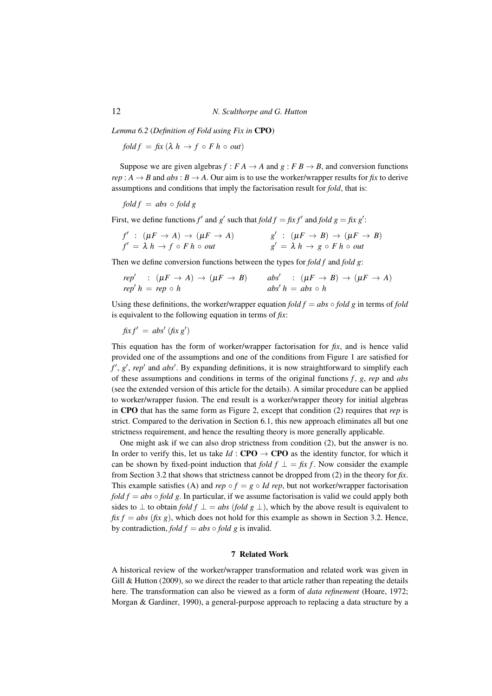*Lemma 6.2* (*Definition of Fold using Fix in* CPO)

*fold*  $f = f(x | \lambda h \rightarrow f \circ F h \circ out)$ 

Suppose we are given algebras  $f : F A \to A$  and  $g : F B \to B$ , and conversion functions  $rep: A \rightarrow B$  and  $abs: B \rightarrow A$ . Our aim is to use the worker/wrapper results for *fix* to derive assumptions and conditions that imply the factorisation result for *fold*, that is:

$$
fold f = abs \circ fold g
$$

First, we define functions  $f'$  and  $g'$  such that  $fold f = f x f'$  and  $fold g = f x g'$ :

$$
f': (\mu F \to A) \to (\mu F \to A)
$$
  

$$
f' = \lambda h \to f \circ F h \circ out
$$
  

$$
g': (\mu F \to B) \to (\mu F \to B)
$$
  

$$
g' = \lambda h \to g \circ F h \circ out
$$

Then we define conversion functions between the types for *fold f* and *fold g*:

| $rep'$ : $(\mu F \to A) \to (\mu F \to B)$ abs' : $(\mu F \to B) \to (\mu F \to A)$ |                       |
|-------------------------------------------------------------------------------------|-----------------------|
| $rep'h = rep \circ h$                                                               | $abs'h = abs \circ h$ |

Using these definitions, the worker/wrapper equation *fold*  $f = abs \circ fold g$  in terms of *fold* is equivalent to the following equation in terms of *fix*:

$$
fixf' = abs'\left(fix\,g'\right)
$$

This equation has the form of worker/wrapper factorisation for *fix*, and is hence valid provided one of the assumptions and one of the conditions from Figure 1 are satisfied for *f* ′ , *g* ′ , *rep*′ and *abs*′ . By expanding definitions, it is now straightforward to simplify each of these assumptions and conditions in terms of the original functions *f* , *g*, *rep* and *abs* (see the extended version of this article for the details). A similar procedure can be applied to worker/wrapper fusion. The end result is a worker/wrapper theory for initial algebras in CPO that has the same form as Figure 2, except that condition (2) requires that *rep* is strict. Compared to the derivation in Section 6.1, this new approach eliminates all but one strictness requirement, and hence the resulting theory is more generally applicable.

One might ask if we can also drop strictness from condition (2), but the answer is no. In order to verify this, let us take  $Id$  : CPO  $\rightarrow$  CPO as the identity functor, for which it can be shown by fixed-point induction that *fold f*  $\perp = f x f$ . Now consider the example from Section 3.2 that shows that strictness cannot be dropped from (2) in the theory for *fix*. This example satisfies (A) and *rep*  $\circ$  *f* = *g*  $\circ$  *Id rep*, but not worker/wrapper factorisation *fold f* = *abs*  $\circ$  *fold g*. In particular, if we assume factorisation is valid we could apply both sides to  $\perp$  to obtain *fold f*  $\perp$  = *abs* (*fold g*  $\perp$ ), which by the above result is equivalent to  $f(x f = abs (fix g)$ , which does not hold for this example as shown in Section 3.2. Hence, by contradiction, *fold*  $f = abs \circ fold g$  is invalid.

#### 7 Related Work

A historical review of the worker/wrapper transformation and related work was given in Gill & Hutton (2009), so we direct the reader to that article rather than repeating the details here. The transformation can also be viewed as a form of *data refinement* (Hoare, 1972; Morgan & Gardiner, 1990), a general-purpose approach to replacing a data structure by a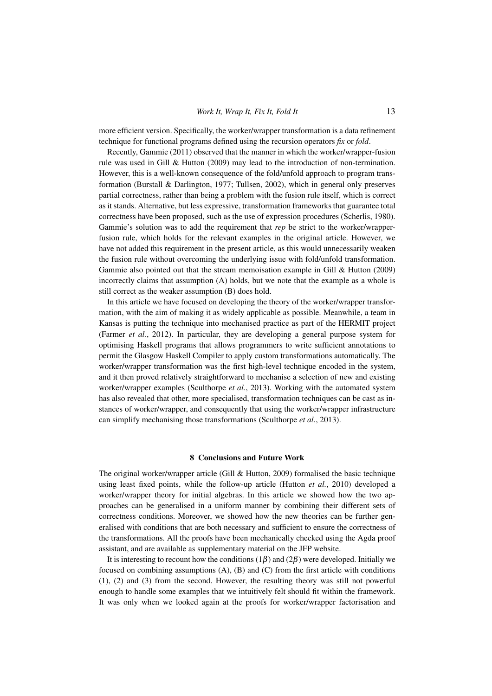more efficient version. Specifically, the worker/wrapper transformation is a data refinement technique for functional programs defined using the recursion operators *fix* or *fold*.

Recently, Gammie (2011) observed that the manner in which the worker/wrapper-fusion rule was used in Gill & Hutton (2009) may lead to the introduction of non-termination. However, this is a well-known consequence of the fold/unfold approach to program transformation (Burstall & Darlington, 1977; Tullsen, 2002), which in general only preserves partial correctness, rather than being a problem with the fusion rule itself, which is correct as it stands. Alternative, but less expressive, transformation frameworks that guarantee total correctness have been proposed, such as the use of expression procedures (Scherlis, 1980). Gammie's solution was to add the requirement that *rep* be strict to the worker/wrapperfusion rule, which holds for the relevant examples in the original article. However, we have not added this requirement in the present article, as this would unnecessarily weaken the fusion rule without overcoming the underlying issue with fold/unfold transformation. Gammie also pointed out that the stream memoisation example in Gill & Hutton (2009) incorrectly claims that assumption (A) holds, but we note that the example as a whole is still correct as the weaker assumption (B) does hold.

In this article we have focused on developing the theory of the worker/wrapper transformation, with the aim of making it as widely applicable as possible. Meanwhile, a team in Kansas is putting the technique into mechanised practice as part of the HERMIT project (Farmer *et al.*, 2012). In particular, they are developing a general purpose system for optimising Haskell programs that allows programmers to write sufficient annotations to permit the Glasgow Haskell Compiler to apply custom transformations automatically. The worker/wrapper transformation was the first high-level technique encoded in the system, and it then proved relatively straightforward to mechanise a selection of new and existing worker/wrapper examples (Sculthorpe *et al.*, 2013). Working with the automated system has also revealed that other, more specialised, transformation techniques can be cast as instances of worker/wrapper, and consequently that using the worker/wrapper infrastructure can simplify mechanising those transformations (Sculthorpe *et al.*, 2013).

# 8 Conclusions and Future Work

The original worker/wrapper article (Gill & Hutton, 2009) formalised the basic technique using least fixed points, while the follow-up article (Hutton *et al.*, 2010) developed a worker/wrapper theory for initial algebras. In this article we showed how the two approaches can be generalised in a uniform manner by combining their different sets of correctness conditions. Moreover, we showed how the new theories can be further generalised with conditions that are both necessary and sufficient to ensure the correctness of the transformations. All the proofs have been mechanically checked using the Agda proof assistant, and are available as supplementary material on the JFP website.

It is interesting to recount how the conditions  $(1\beta)$  and  $(2\beta)$  were developed. Initially we focused on combining assumptions  $(A)$ ,  $(B)$  and  $(C)$  from the first article with conditions (1), (2) and (3) from the second. However, the resulting theory was still not powerful enough to handle some examples that we intuitively felt should fit within the framework. It was only when we looked again at the proofs for worker/wrapper factorisation and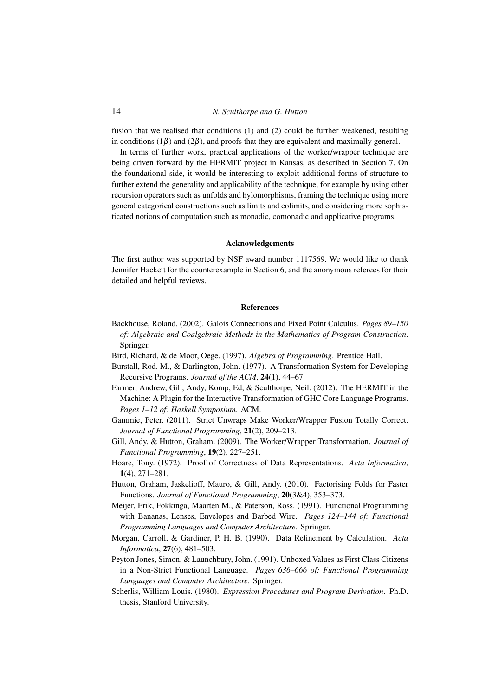fusion that we realised that conditions (1) and (2) could be further weakened, resulting in conditions (1 $\beta$ ) and (2 $\beta$ ), and proofs that they are equivalent and maximally general.

In terms of further work, practical applications of the worker/wrapper technique are being driven forward by the HERMIT project in Kansas, as described in Section 7. On the foundational side, it would be interesting to exploit additional forms of structure to further extend the generality and applicability of the technique, for example by using other recursion operators such as unfolds and hylomorphisms, framing the technique using more general categorical constructions such as limits and colimits, and considering more sophisticated notions of computation such as monadic, comonadic and applicative programs.

#### Acknowledgements

The first author was supported by NSF award number 1117569. We would like to thank Jennifer Hackett for the counterexample in Section 6, and the anonymous referees for their detailed and helpful reviews.

#### References

- Backhouse, Roland. (2002). Galois Connections and Fixed Point Calculus. *Pages 89–150 of: Algebraic and Coalgebraic Methods in the Mathematics of Program Construction*. Springer.
- Bird, Richard, & de Moor, Oege. (1997). *Algebra of Programming*. Prentice Hall.
- Burstall, Rod. M., & Darlington, John. (1977). A Transformation System for Developing Recursive Programs. *Journal of the ACM*, 24(1), 44–67.
- Farmer, Andrew, Gill, Andy, Komp, Ed, & Sculthorpe, Neil. (2012). The HERMIT in the Machine: A Plugin for the Interactive Transformation of GHC Core Language Programs. *Pages 1–12 of: Haskell Symposium*. ACM.
- Gammie, Peter. (2011). Strict Unwraps Make Worker/Wrapper Fusion Totally Correct. *Journal of Functional Programming*, 21(2), 209–213.
- Gill, Andy, & Hutton, Graham. (2009). The Worker/Wrapper Transformation. *Journal of Functional Programming*, 19(2), 227–251.
- Hoare, Tony. (1972). Proof of Correctness of Data Representations. *Acta Informatica*, 1(4), 271–281.
- Hutton, Graham, Jaskelioff, Mauro, & Gill, Andy. (2010). Factorising Folds for Faster Functions. *Journal of Functional Programming*, 20(3&4), 353–373.
- Meijer, Erik, Fokkinga, Maarten M., & Paterson, Ross. (1991). Functional Programming with Bananas, Lenses, Envelopes and Barbed Wire. *Pages 124–144 of: Functional Programming Languages and Computer Architecture*. Springer.
- Morgan, Carroll, & Gardiner, P. H. B. (1990). Data Refinement by Calculation. *Acta Informatica*, 27(6), 481–503.
- Peyton Jones, Simon, & Launchbury, John. (1991). Unboxed Values as First Class Citizens in a Non-Strict Functional Language. *Pages 636–666 of: Functional Programming Languages and Computer Architecture*. Springer.
- Scherlis, William Louis. (1980). *Expression Procedures and Program Derivation*. Ph.D. thesis, Stanford University.